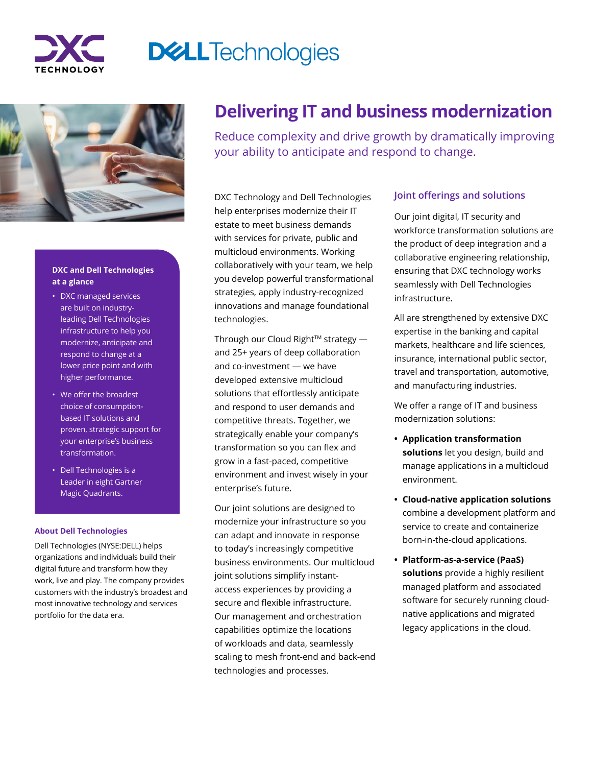

# **DELLTechnologies**



### **DXC and Dell Technologies at a glance**

- DXC managed services are built on industryleading Dell Technologies infrastructure to help you modernize, anticipate and respond to change at a lower price point and with higher performance.
- We offer the broadest choice of consumptionbased IT solutions and proven, strategic support for your enterprise's business transformation.
- Dell Technologies is a Leader in eight Gartner Magic Quadrants.

#### **About Dell Technologies**

Dell Technologies (NYSE:DELL) helps organizations and individuals build their digital future and transform how they work, live and play. The company provides customers with the industry's broadest and most innovative technology and services portfolio for the data era.

# **Delivering IT and business modernization**

Reduce complexity and drive growth by dramatically improving your ability to anticipate and respond to change.

DXC Technology and Dell Technologies help enterprises modernize their IT estate to meet business demands with services for private, public and multicloud environments. Working collaboratively with your team, we help you develop powerful transformational strategies, apply industry-recognized innovations and manage foundational technologies.

Through our Cloud Right<sup> $M$ </sup> strategy  $$ and 25+ years of deep collaboration and co-investment — we have developed extensive multicloud solutions that effortlessly anticipate and respond to user demands and competitive threats. Together, we strategically enable your company's transformation so you can flex and grow in a fast-paced, competitive environment and invest wisely in your enterprise's future.

Our joint solutions are designed to modernize your infrastructure so you can adapt and innovate in response to today's increasingly competitive business environments. Our multicloud joint solutions simplify instantaccess experiences by providing a secure and flexible infrastructure. Our management and orchestration capabilities optimize the locations of workloads and data, seamlessly scaling to mesh front-end and back-end technologies and processes.

## **Joint offerings and solutions**

Our joint digital, IT security and workforce transformation solutions are the product of deep integration and a collaborative engineering relationship, ensuring that DXC technology works seamlessly with Dell Technologies infrastructure.

All are strengthened by extensive DXC expertise in the banking and capital markets, healthcare and life sciences, insurance, international public sector, travel and transportation, automotive, and manufacturing industries.

We offer a range of IT and business modernization solutions:

- **• Application transformation solutions** let you design, build and manage applications in a multicloud environment.
- **• Cloud-native application solutions**  combine a development platform and service to create and containerize born-in-the-cloud applications.
- **• Platform-as-a-service (PaaS) solutions** provide a highly resilient managed platform and associated software for securely running cloudnative applications and migrated legacy applications in the cloud.